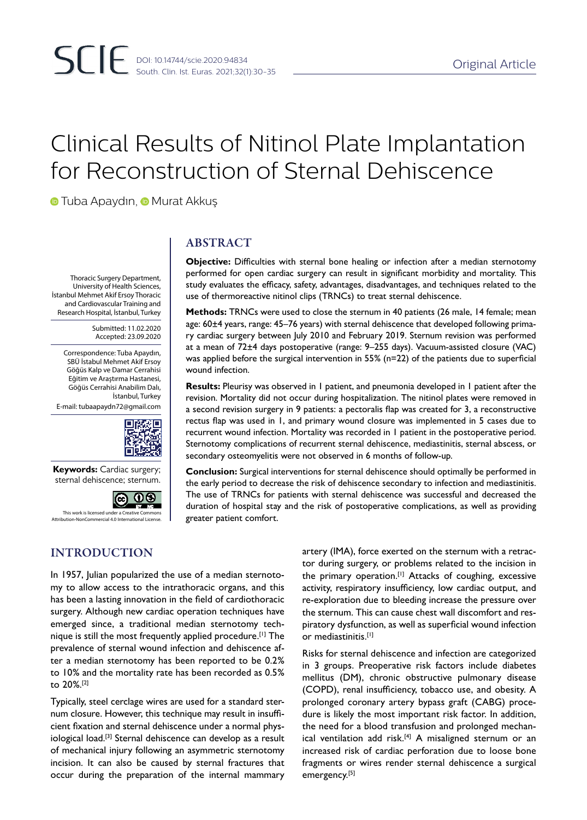# Clinical Results of Nitinol Plate Implantation for Reconstruction of Sternal Dehiscence

**TubaApaydın, O Murat Akkuş** 

Thoracic Surgery Department, University of Health Sciences, İstanbul Mehmet Akif Ersoy Thoracic and Cardiovascular Training and Research Hospital, İstanbul, Turkey

> Submitted: 11.02.2020 Accepted: 23.09.2020

Correspondence: Tuba Apaydın, SBÜ İstabul Mehmet Akif Ersoy Göğüs Kalp ve Damar Cerrahisi Eğitim ve Araştırma Hastanesi, Göğüs Cerrahisi Anabilim Dalı, İstanbul, Turkey

E-mail: tubaapaydn72@gmail.com



**Keywords:** Cardiac surgery; sternal dehiscence; sternum.



**Ation-NonCommercial 4.0 Internation** 

# INTRODUCTION

In 1957, Julian popularized the use of a median sternotomy to allow access to the intrathoracic organs, and this has been a lasting innovation in the field of cardiothoracic surgery. Although new cardiac operation techniques have emerged since, a traditional median sternotomy technique is still the most frequently applied procedure.[1] The prevalence of sternal wound infection and dehiscence after a median sternotomy has been reported to be 0.2% to 10% and the mortality rate has been recorded as 0.5% to 20%.[2]

Typically, steel cerclage wires are used for a standard sternum closure. However, this technique may result in insufficient fixation and sternal dehiscence under a normal physiological load.<sup>[3]</sup> Sternal dehiscence can develop as a result of mechanical injury following an asymmetric sternotomy incision. It can also be caused by sternal fractures that occur during the preparation of the internal mammary

# ABSTRACT

**Objective:** Difficulties with sternal bone healing or infection after a median sternotomy performed for open cardiac surgery can result in significant morbidity and mortality. This study evaluates the efficacy, safety, advantages, disadvantages, and techniques related to the use of thermoreactive nitinol clips (TRNCs) to treat sternal dehiscence.

**Methods:** TRNCs were used to close the sternum in 40 patients (26 male, 14 female; mean age: 60±4 years, range: 45–76 years) with sternal dehiscence that developed following primary cardiac surgery between July 2010 and February 2019. Sternum revision was performed at a mean of 72±4 days postoperative (range: 9–255 days). Vacuum-assisted closure (VAC) was applied before the surgical intervention in 55% (n=22) of the patients due to superficial wound infection.

**Results:** Pleurisy was observed in 1 patient, and pneumonia developed in 1 patient after the revision. Mortality did not occur during hospitalization. The nitinol plates were removed in a second revision surgery in 9 patients: a pectoralis flap was created for 3, a reconstructive rectus flap was used in 1, and primary wound closure was implemented in 5 cases due to recurrent wound infection. Mortality was recorded in 1 patient in the postoperative period. Sternotomy complications of recurrent sternal dehiscence, mediastinitis, sternal abscess, or secondary osteomyelitis were not observed in 6 months of follow-up.

**Conclusion:** Surgical interventions for sternal dehiscence should optimally be performed in the early period to decrease the risk of dehiscence secondary to infection and mediastinitis. The use of TRNCs for patients with sternal dehiscence was successful and decreased the duration of hospital stay and the risk of postoperative complications, as well as providing greater patient comfort.

> artery (IMA), force exerted on the sternum with a retractor during surgery, or problems related to the incision in the primary operation.<sup>[1]</sup> Attacks of coughing, excessive activity, respiratory insufficiency, low cardiac output, and re-exploration due to bleeding increase the pressure over the sternum. This can cause chest wall discomfort and respiratory dysfunction, as well as superficial wound infection or mediastinitis.[1]

> Risks for sternal dehiscence and infection are categorized in 3 groups. Preoperative risk factors include diabetes mellitus (DM), chronic obstructive pulmonary disease (COPD), renal insufficiency, tobacco use, and obesity. A prolonged coronary artery bypass graft (CABG) procedure is likely the most important risk factor. In addition, the need for a blood transfusion and prolonged mechanical ventilation add risk.<sup>[4]</sup> A misaligned sternum or an increased risk of cardiac perforation due to loose bone fragments or wires render sternal dehiscence a surgical emergency.<sup>[5]</sup>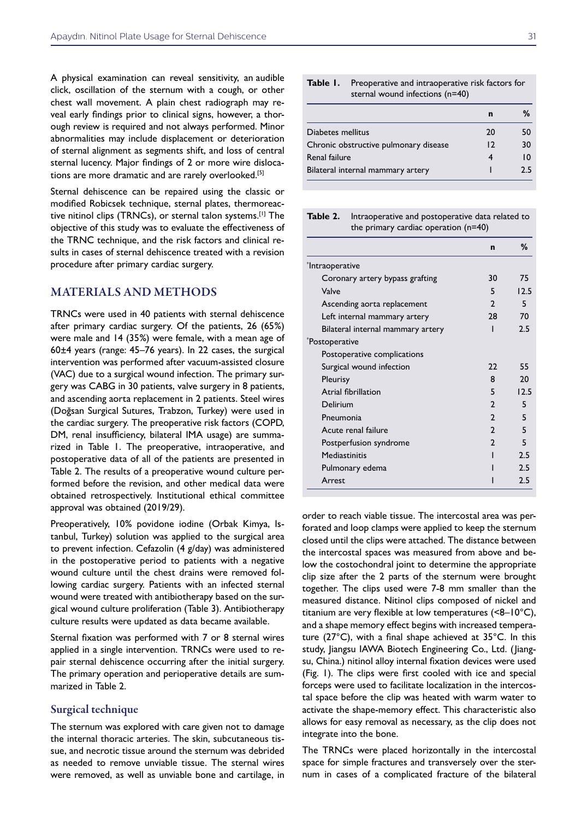A physical examination can reveal sensitivity, an audible click, oscillation of the sternum with a cough, or other chest wall movement. A plain chest radiograph may reveal early findings prior to clinical signs, however, a thorough review is required and not always performed. Minor abnormalities may include displacement or deterioration of sternal alignment as segments shift, and loss of central sternal lucency. Major findings of 2 or more wire dislocations are more dramatic and are rarely overlooked.<sup>[5]</sup>

Sternal dehiscence can be repaired using the classic or modified Robicsek technique, sternal plates, thermoreactive nitinol clips (TRNCs), or sternal talon systems.[1] The objective of this study was to evaluate the effectiveness of the TRNC technique, and the risk factors and clinical results in cases of sternal dehiscence treated with a revision procedure after primary cardiac surgery.

## MATERIALS AND METHODS

TRNCs were used in 40 patients with sternal dehiscence after primary cardiac surgery. Of the patients, 26 (65%) were male and 14 (35%) were female, with a mean age of 60±4 years (range: 45–76 years). In 22 cases, the surgical intervention was performed after vacuum-assisted closure (VAC) due to a surgical wound infection. The primary surgery was CABG in 30 patients, valve surgery in 8 patients, and ascending aorta replacement in 2 patients. Steel wires (Doğsan Surgical Sutures, Trabzon, Turkey) were used in the cardiac surgery. The preoperative risk factors (COPD, DM, renal insufficiency, bilateral IMA usage) are summarized in Table 1. The preoperative, intraoperative, and postoperative data of all of the patients are presented in Table 2. The results of a preoperative wound culture performed before the revision, and other medical data were obtained retrospectively. Institutional ethical committee approval was obtained (2019/29).

Preoperatively, 10% povidone iodine (Orbak Kimya, Istanbul, Turkey) solution was applied to the surgical area to prevent infection. Cefazolin (4 g/day) was administered in the postoperative period to patients with a negative wound culture until the chest drains were removed following cardiac surgery. Patients with an infected sternal wound were treated with antibiotherapy based on the surgical wound culture proliferation (Table 3). Antibiotherapy culture results were updated as data became available.

Sternal fixation was performed with 7 or 8 sternal wires applied in a single intervention. TRNCs were used to repair sternal dehiscence occurring after the initial surgery. The primary operation and perioperative details are summarized in Table 2.

## Surgical technique

The sternum was explored with care given not to damage the internal thoracic arteries. The skin, subcutaneous tissue, and necrotic tissue around the sternum was debrided as needed to remove unviable tissue. The sternal wires were removed, as well as unviable bone and cartilage, in

| <b>Table I.</b> Preoperative and intraoperative risk factors for |
|------------------------------------------------------------------|
| sternal wound infections (n=40)                                  |

|                                       | n  | %  |
|---------------------------------------|----|----|
| Diabetes mellitus                     | 20 | 50 |
| Chronic obstructive pulmonary disease | 12 | 30 |
| Renal failure                         |    | 10 |
| Bilateral internal mammary artery     |    | つち |

**Table 2.** Intraoperative and postoperative data related to the primary cardiac operation (n=40)

|                                   | $\mathbf n$    | %    |
|-----------------------------------|----------------|------|
| *Intraoperative                   |                |      |
| Coronary artery bypass grafting   | 30             | 75   |
| Valve                             | 5              | 12.5 |
| Ascending aorta replacement       | $\mathcal{P}$  | 5    |
| Left internal mammary artery      | 28             | 70   |
| Bilateral internal mammary artery | ı              | 2.5  |
| *Postoperative                    |                |      |
| Postoperative complications       |                |      |
| Surgical wound infection          | 22             | 55   |
| Pleurisy                          | 8              | 20   |
| Atrial fibrillation               | 5              | 12.5 |
| Delirium                          | $\mathcal{P}$  | 5    |
| Pneumonia                         | $\mathcal{P}$  | 5    |
| Acute renal failure               | $\mathcal{P}$  | 5    |
| Postperfusion syndrome            | $\mathfrak{p}$ | 5    |
| Mediastinitis                     |                | 2.5  |
| Pulmonary edema                   |                | 2.5  |
| Arrest                            |                | 2.5  |

order to reach viable tissue. The intercostal area was perforated and loop clamps were applied to keep the sternum closed until the clips were attached. The distance between the intercostal spaces was measured from above and below the costochondral joint to determine the appropriate clip size after the 2 parts of the sternum were brought together. The clips used were 7-8 mm smaller than the measured distance. Nitinol clips composed of nickel and titanium are very flexible at low temperatures (<8–10°C), and a shape memory effect begins with increased temperature (27°C), with a final shape achieved at 35°C. In this study, Jiangsu IAWA Biotech Engineering Co., Ltd. (Jiangsu, China.) nitinol alloy internal fixation devices were used (Fig. 1). The clips were first cooled with ice and special forceps were used to facilitate localization in the intercostal space before the clip was heated with warm water to activate the shape-memory effect. This characteristic also allows for easy removal as necessary, as the clip does not integrate into the bone.

The TRNCs were placed horizontally in the intercostal space for simple fractures and transversely over the sternum in cases of a complicated fracture of the bilateral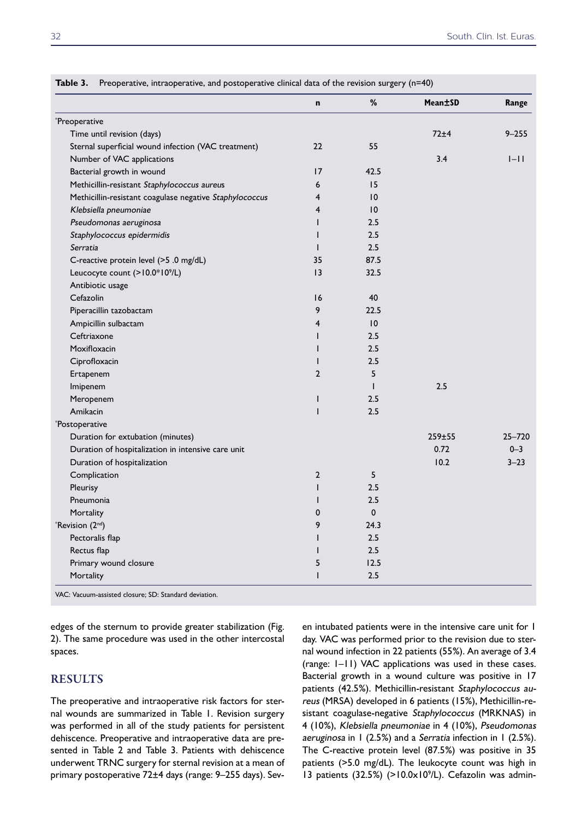|                                                         | n              | %           | Mean±SD    | Range      |
|---------------------------------------------------------|----------------|-------------|------------|------------|
| *Preoperative                                           |                |             |            |            |
| Time until revision (days)                              |                |             | 72±4       | $9 - 255$  |
| Sternal superficial wound infection (VAC treatment)     | 22             | 55          |            |            |
| Number of VAC applications                              |                |             | 3.4        | $I-I$      |
| Bacterial growth in wound                               | 17             | 42.5        |            |            |
| Methicillin-resistant Staphylococcus aureus             | 6              | 15          |            |            |
| Methicillin-resistant coagulase negative Staphylococcus | $\overline{4}$ | 10          |            |            |
| Klebsiella pneumoniae                                   | 4              | 10          |            |            |
| Pseudomonas aeruginosa                                  | $\mathsf{I}$   | 2.5         |            |            |
| Staphylococcus epidermidis                              | $\mathbf{I}$   | 2.5         |            |            |
| Serratia                                                | $\mathsf{I}$   | 2.5         |            |            |
| C-reactive protein level (>5 .0 mg/dL)                  | 35             | 87.5        |            |            |
| Leucocyte count (>10.0*10°/L)                           | 13             | 32.5        |            |            |
| Antibiotic usage                                        |                |             |            |            |
| Cefazolin                                               | 16             | 40          |            |            |
| Piperacillin tazobactam                                 | 9              | 22.5        |            |            |
| Ampicillin sulbactam                                    | $\overline{4}$ | 10          |            |            |
| Ceftriaxone                                             | $\mathbf{I}$   | 2.5         |            |            |
| Moxifloxacin                                            | $\mathbf{I}$   | 2.5         |            |            |
| Ciprofloxacin                                           | $\mathbf{I}$   | 2.5         |            |            |
| Ertapenem                                               | $\overline{2}$ | 5           |            |            |
| Imipenem                                                |                |             | 2.5        |            |
| Meropenem                                               | $\mathbf{I}$   | 2.5         |            |            |
| Amikacin                                                | $\mathbf{I}$   | 2.5         |            |            |
| *Postoperative                                          |                |             |            |            |
| Duration for extubation (minutes)                       |                |             | $259 + 55$ | $25 - 720$ |
| Duration of hospitalization in intensive care unit      |                |             | 0.72       | $0 - 3$    |
| Duration of hospitalization                             |                |             | 10.2       | $3 - 23$   |
| Complication                                            | $\overline{2}$ | 5           |            |            |
| Pleurisy                                                | $\mathbf{I}$   | 2.5         |            |            |
| Pneumonia                                               | $\mathbf{I}$   | 2.5         |            |            |
| Mortality                                               | 0              | $\mathbf 0$ |            |            |
| $R$ evision $(2nd)$                                     | 9              | 24.3        |            |            |
| Pectoralis flap                                         | $\mathsf{I}$   | 2.5         |            |            |
| Rectus flap                                             | $\mathbf{I}$   | 2.5         |            |            |
| Primary wound closure                                   | 5              | 12.5        |            |            |
| Mortality                                               | $\mathbf{I}$   | 2.5         |            |            |

**Table 3.** Preoperative, intraoperative, and postoperative clinical data of the revision surgery (n=40)

VAC: Vacuum-assisted closure; SD: Standard deviation.

edges of the sternum to provide greater stabilization (Fig. 2). The same procedure was used in the other intercostal spaces.

## RESULTS

The preoperative and intraoperative risk factors for sternal wounds are summarized in Table 1. Revision surgery was performed in all of the study patients for persistent dehiscence. Preoperative and intraoperative data are presented in Table 2 and Table 3. Patients with dehiscence underwent TRNC surgery for sternal revision at a mean of primary postoperative 72±4 days (range: 9–255 days). Seven intubated patients were in the intensive care unit for 1 day. VAC was performed prior to the revision due to sternal wound infection in 22 patients (55%). An average of 3.4 (range: 1–11) VAC applications was used in these cases. Bacterial growth in a wound culture was positive in 17 patients (42.5%). Methicillin-resistant Staphylococcus aureus (MRSA) developed in 6 patients (15%), Methicillin-resistant coagulase-negative Staphylococcus (MRKNAS) in 4 (10%), Klebsiella pneumoniae in 4 (10%), Pseudomonas aeruginosa in 1 (2.5%) and a Serratia infection in 1 (2.5%). The C-reactive protein level (87.5%) was positive in 35 patients (>5.0 mg/dL). The leukocyte count was high in 13 patients (32.5%) (>10.0x10<sup>9</sup>/L). Cefazolin was admin-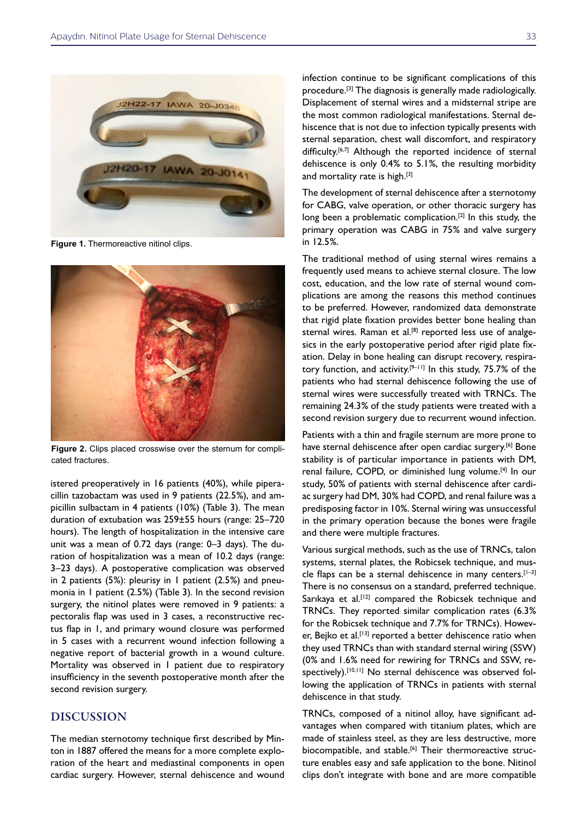

**Figure 1.** Thermoreactive nitinol clips.



**Figure 2.** Clips placed crosswise over the sternum for complicated fractures.

istered preoperatively in 16 patients (40%), while piperacillin tazobactam was used in 9 patients (22.5%), and ampicillin sulbactam in 4 patients (10%) (Table 3). The mean duration of extubation was 259±55 hours (range: 25–720 hours). The length of hospitalization in the intensive care unit was a mean of 0.72 days (range: 0–3 days). The duration of hospitalization was a mean of 10.2 days (range: 3–23 days). A postoperative complication was observed in 2 patients (5%): pleurisy in 1 patient (2.5%) and pneumonia in 1 patient (2.5%) (Table 3). In the second revision surgery, the nitinol plates were removed in 9 patients: a pectoralis flap was used in 3 cases, a reconstructive rectus flap in 1, and primary wound closure was performed in 5 cases with a recurrent wound infection following a negative report of bacterial growth in a wound culture. Mortality was observed in 1 patient due to respiratory insufficiency in the seventh postoperative month after the second revision surgery.

## **DISCUSSION**

The median sternotomy technique first described by Minton in 1887 offered the means for a more complete exploration of the heart and mediastinal components in open cardiac surgery. However, sternal dehiscence and wound

infection continue to be significant complications of this procedure.[3] The diagnosis is generally made radiologically. Displacement of sternal wires and a midsternal stripe are the most common radiological manifestations. Sternal dehiscence that is not due to infection typically presents with sternal separation, chest wall discomfort, and respiratory difficulty.<sup>[6,7]</sup> Although the reported incidence of sternal dehiscence is only 0.4% to 5.1%, the resulting morbidity and mortality rate is high.<sup>[3]</sup>

The development of sternal dehiscence after a sternotomy for CABG, valve operation, or other thoracic surgery has long been a problematic complication.<sup>[2]</sup> In this study, the primary operation was CABG in 75% and valve surgery in 12.5%.

The traditional method of using sternal wires remains a frequently used means to achieve sternal closure. The low cost, education, and the low rate of sternal wound complications are among the reasons this method continues to be preferred. However, randomized data demonstrate that rigid plate fixation provides better bone healing than sternal wires. Raman et al.<sup>[8]</sup> reported less use of analgesics in the early postoperative period after rigid plate fixation. Delay in bone healing can disrupt recovery, respiratory function, and activity.<sup>[9-11]</sup> In this study, 75.7% of the patients who had sternal dehiscence following the use of sternal wires were successfully treated with TRNCs. The remaining 24.3% of the study patients were treated with a second revision surgery due to recurrent wound infection.

Patients with a thin and fragile sternum are more prone to have sternal dehiscence after open cardiac surgery.<sup>[6]</sup> Bone stability is of particular importance in patients with DM, renal failure, COPD, or diminished lung volume.[4] In our study, 50% of patients with sternal dehiscence after cardiac surgery had DM, 30% had COPD, and renal failure was a predisposing factor in 10%. Sternal wiring was unsuccessful in the primary operation because the bones were fragile and there were multiple fractures.

Various surgical methods, such as the use of TRNCs, talon systems, sternal plates, the Robicsek technique, and muscle flaps can be a sternal dehiscence in many centers.<sup>[1-3]</sup> There is no consensus on a standard, preferred technique. Sarıkaya et al.<sup>[12]</sup> compared the Robicsek technique and TRNCs. They reported similar complication rates (6.3% for the Robicsek technique and 7.7% for TRNCs). However, Bejko et al.<sup>[13]</sup> reported a better dehiscence ratio when they used TRNCs than with standard sternal wiring (SSW) (0% and 1.6% need for rewiring for TRNCs and SSW, respectively).<sup>[10,11]</sup> No sternal dehiscence was observed following the application of TRNCs in patients with sternal dehiscence in that study.

TRNCs, composed of a nitinol alloy, have significant advantages when compared with titanium plates, which are made of stainless steel, as they are less destructive, more biocompatible, and stable.<sup>[6]</sup> Their thermoreactive structure enables easy and safe application to the bone. Nitinol clips don't integrate with bone and are more compatible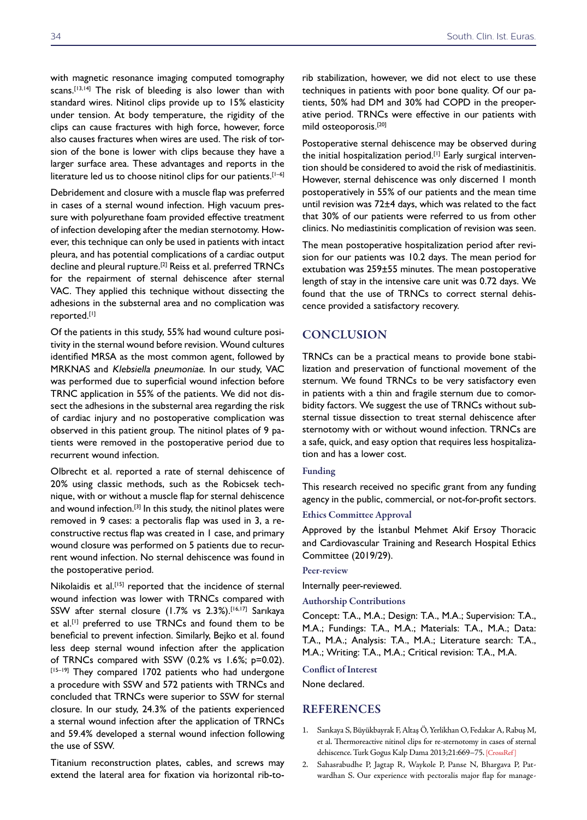with magnetic resonance imaging computed tomography scans.[13,14] The risk of bleeding is also lower than with standard wires. Nitinol clips provide up to 15% elasticity under tension. At body temperature, the rigidity of the clips can cause fractures with high force, however, force also causes fractures when wires are used. The risk of torsion of the bone is lower with clips because they have a larger surface area. These advantages and reports in the literature led us to choose nitinol clips for our patients.<sup>[1-6]</sup>

Debridement and closure with a muscle flap was preferred in cases of a sternal wound infection. High vacuum pressure with polyurethane foam provided effective treatment of infection developing after the median sternotomy. However, this technique can only be used in patients with intact pleura, and has potential complications of a cardiac output decline and pleural rupture.<sup>[2]</sup> Reiss et al. preferred TRNCs for the repairment of sternal dehiscence after sternal VAC. They applied this technique without dissecting the adhesions in the substernal area and no complication was reported.[1]

Of the patients in this study, 55% had wound culture positivity in the sternal wound before revision. Wound cultures identified MRSA as the most common agent, followed by MRKNAS and Klebsiella pneumoniae. In our study, VAC was performed due to superficial wound infection before TRNC application in 55% of the patients. We did not dissect the adhesions in the substernal area regarding the risk of cardiac injury and no postoperative complication was observed in this patient group. The nitinol plates of 9 patients were removed in the postoperative period due to recurrent wound infection.

Olbrecht et al. reported a rate of sternal dehiscence of 20% using classic methods, such as the Robicsek technique, with or without a muscle flap for sternal dehiscence and wound infection.<sup>[3]</sup> In this study, the nitinol plates were removed in 9 cases: a pectoralis flap was used in 3, a reconstructive rectus flap was created in 1 case, and primary wound closure was performed on 5 patients due to recurrent wound infection. No sternal dehiscence was found in the postoperative period.

Nikolaidis et al.<sup>[15]</sup> reported that the incidence of sternal wound infection was lower with TRNCs compared with SSW after sternal closure (1.7% vs 2.3%).<sup>[16,17]</sup> Sarıkaya et al.<sup>[1]</sup> preferred to use TRNCs and found them to be beneficial to prevent infection. Similarly, Bejko et al. found less deep sternal wound infection after the application of TRNCs compared with SSW (0.2% vs 1.6%; p=0.02). [15-19] They compared 1702 patients who had undergone a procedure with SSW and 572 patients with TRNCs and concluded that TRNCs were superior to SSW for sternal closure. In our study, 24.3% of the patients experienced a sternal wound infection after the application of TRNCs and 59.4% developed a sternal wound infection following the use of SSW.

Titanium reconstruction plates, cables, and screws may extend the lateral area for fixation via horizontal rib-torib stabilization, however, we did not elect to use these techniques in patients with poor bone quality. Of our patients, 50% had DM and 30% had COPD in the preoperative period. TRNCs were effective in our patients with mild osteoporosis.[20]

Postoperative sternal dehiscence may be observed during the initial hospitalization period.[1] Early surgical intervention should be considered to avoid the risk of mediastinitis. However, sternal dehiscence was only discerned 1 month postoperatively in 55% of our patients and the mean time until revision was 72±4 days, which was related to the fact that 30% of our patients were referred to us from other clinics. No mediastinitis complication of revision was seen.

The mean postoperative hospitalization period after revision for our patients was 10.2 days. The mean period for extubation was 259±55 minutes. The mean postoperative length of stay in the intensive care unit was 0.72 days. We found that the use of TRNCs to correct sternal dehiscence provided a satisfactory recovery.

## **CONCLUSION**

TRNCs can be a practical means to provide bone stabilization and preservation of functional movement of the sternum. We found TRNCs to be very satisfactory even in patients with a thin and fragile sternum due to comorbidity factors. We suggest the use of TRNCs without substernal tissue dissection to treat sternal dehiscence after sternotomy with or without wound infection. TRNCs are a safe, quick, and easy option that requires less hospitalization and has a lower cost.

#### Funding

This research received no specific grant from any funding agency in the public, commercial, or not-for-profit sectors.

### Ethics Committee Approval

Approved by the İstanbul Mehmet Akif Ersoy Thoracic and Cardiovascular Training and Research Hospital Ethics Committee (2019/29).

#### Peer-review

Internally peer-reviewed.

#### Authorship Contributions

Concept: T.A., M.A.; Design: T.A., M.A.; Supervision: T.A., M.A.; Fundings: T.A., M.A.; Materials: T.A., M.A.; Data: T.A., M.A.; Analysis: T.A., M.A.; Literature search: T.A., M.A.; Writing: T.A., M.A.; Critical revision: T.A., M.A.

#### Conflict of Interest

None declared.

## REFERENCES

- 1. Sarıkaya S, Büyükbayrak F, Altaş Ö, Yerlikhan O, Fedakar A, Rabuş M, et al. Thermoreactive nitinol clips for re-sternotomy in cases of sternal dehiscence. Turk Gogus Kalp Dama 2013;21:669–7[5. \[CrossRef \]](https://doi.org/10.5606/tgkdc.dergisi.2013.7603)
- 2. Sahasrabudhe P, Jagtap R, Waykole P, Panse N, Bhargava P, Patwardhan S. Our experience with pectoralis major flap for manage-